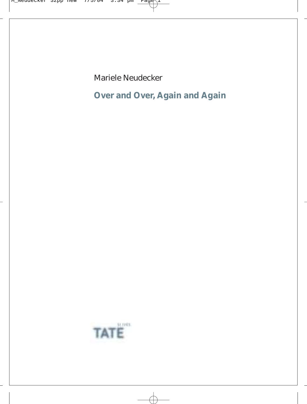Mariele Neudecker

**Over and Over, Again and Again**

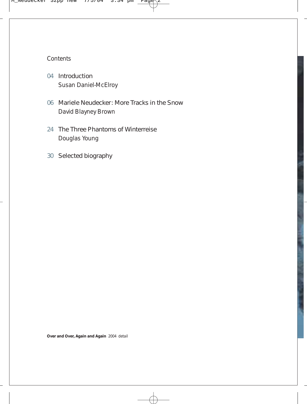## **Contents**

- 04 Introduction Susan Daniel-McElroy
- 06 Mariele Neudecker: More Tracks in the Snow David Blayney Brown
- 24 The Three Phantoms of Winterreise Douglas Young
- 30 Selected biography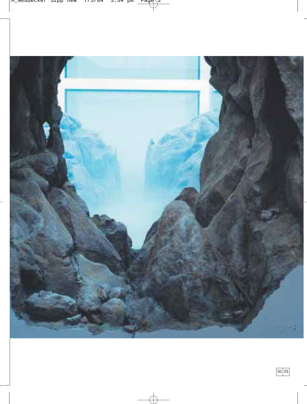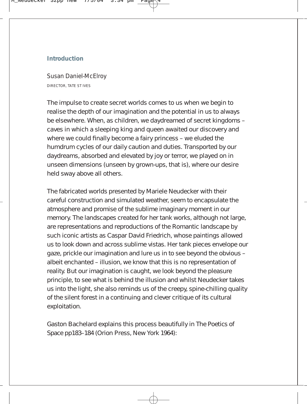## **Introduction**

Susan Daniel-McElroy DIRECTOR, TATE ST IVES

The impulse to create secret worlds comes to us when we begin to realise the depth of our imagination and the potential in us to always be elsewhere. When, as children, we daydreamed of secret kingdoms – caves in which a sleeping king and queen awaited our discovery and where we could finally become a fairy princess – we eluded the humdrum cycles of our daily caution and duties. Transported by our daydreams, absorbed and elevated by joy or terror, we played on in unseen dimensions (unseen by grown-ups, that is), where our desire held sway above all others.

The fabricated worlds presented by Mariele Neudecker with their careful construction and simulated weather, seem to encapsulate the atmosphere and promise of the sublime imaginary moment in our memory. The landscapes created for her tank works, although not large, are representations and reproductions of the Romantic landscape by such iconic artists as Caspar David Friedrich, whose paintings allowed us to look down and across sublime vistas. Her tank pieces envelope our gaze, prickle our imagination and lure us in to see beyond the obvious – albeit enchanted – illusion, we know that this is no representation of reality. But our imagination is caught, we look beyond the pleasure principle, to see what is behind the illusion and whilst Neudecker takes us into the light, she also reminds us of the creepy, spine-chilling quality of the silent forest in a continuing and clever critique of its cultural exploitation.

Gaston Bachelard explains this process beautifully in *The Poetics of Space* pp183–184 (Orion Press, New York 1964):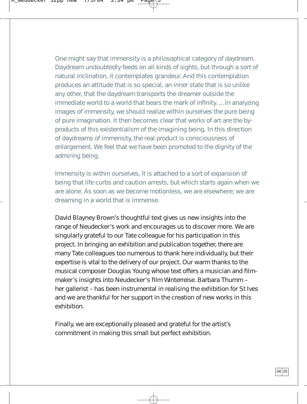One might say that immensity is a philosophical category of daydream. Daydream undoubtedly feeds on all kinds of sights, but through a sort of natural inclination, it contemplates grandeur. And this contemplation produces an attitude that is so special, an inner state that is so unlike any other, that the daydream transports the dreamer outside the immediate world to a world that bears the mark of infinity. …In analyzing images of immensity, we should realize within ourselves the pure being of pure imagination. It then becomes clear that works of art are the *byproducts* of this existentialism of the imagining being. In this direction of daydreams of immensity, the real *product* is consciousness of enlargement. We feel that we have been promoted to the dignity of the admiring being.

Immensity is within ourselves, it is attached to a sort of expansion of being that life curbs and caution arrests, but which starts again when we are alone. As soon as we become motionless, we are elsewhere; we are dreaming in a world that is immense.

David Blayney Brown's thoughtful text gives us new insights into the range of Neudecker's work and encourages us to discover more. We are singularly grateful to our Tate colleague for his participation in this project. In bringing an exhibition and publication together, there are many Tate colleagues too numerous to thank here individually, but their expertise is vital to the delivery of our project. Our warm thanks to the musical composer Douglas Young whose text offers a musician and filmmaker's insights into Neudecker's film *Winterreise.* Barbara Thumm – her gallerist – has been instrumental in realising the exhibition for St Ives and we are thankful for her support in the creation of new works in this exhibition.

Finally, we are exceptionally pleased and grateful for the artist's commitment in making this small but perfect exhibition.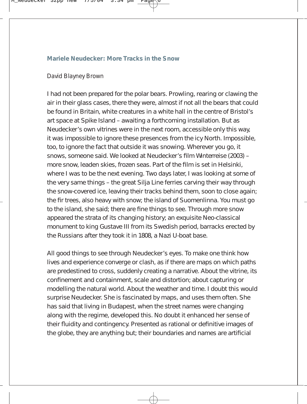## **Mariele Neudecker: More Tracks in the Snow**

### David Blayney Brown

I had not been prepared for the polar bears. Prowling, rearing or clawing the air in their glass cases, there they were, almost if not all the bears that could be found in Britain, white creatures in a white hall in the centre of Bristol's art space at Spike Island – awaiting a forthcoming installation. But as Neudecker's own vitrines were in the next room, accessible only this way, it was impossible to ignore these presences from the icy North. Impossible, too, to ignore the fact that outside it was snowing. Wherever you go, it snows, someone said. We looked at Neudecker's film *Winterreise* (2003) – more snow, leaden skies, frozen seas. Part of the film is set in Helsinki, where I was to be the next evening. Two days later, I was looking at some of the very same things – the great Silja Line ferries carving their way through the snow-covered ice, leaving their tracks behind them, soon to close again; the fir trees, also heavy with snow; the island of Suomenlinna. You must go to the island, she said; there are fine things to see. Through more snow appeared the strata of its changing history; an exquisite Neo-classical monument to king Gustave III from its Swedish period, barracks erected by the Russians after they took it in 1808, a Nazi U-boat base.

All good things to see through Neudecker's eyes. To make one think how lives and experience converge or clash, as if there are maps on which paths are predestined to cross, suddenly creating a narrative. About the vitrine, its confinement and containment, scale and distortion; about capturing or modelling the natural world. About the weather and time. I doubt this would surprise Neudecker. She is fascinated by maps, and uses them often. She has said that living in Budapest, when the street names were changing along with the regime, developed this. No doubt it enhanced her sense of their fluidity and contingency. Presented as rational or definitive images of the globe, they are anything but; their boundaries and names are artificial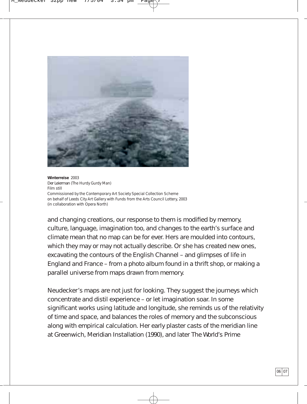

*Winterreise* 2003 *Der Leierman* (The Hurdy Gurdy Man) Film still Commissioned by the Contemporary Art Society Special Collection Scheme on behalf of Leeds City Art Gallery with Funds from the Arts Council Lottery, 2003 (in collaboration with Opera North)

and changing creations, our response to them is modified by memory, culture, language, imagination too, and changes to the earth's surface and climate mean that no map can be for ever. Hers are moulded into contours, which they may or may not actually describe. Or she has created new ones, excavating the contours of the English Channel – and glimpses of life in England and France – from a photo album found in a thrift shop, or making a parallel universe from maps drawn from memory.

Neudecker's maps are not just for looking. They suggest the journeys which concentrate and distil experience – or let imagination soar. In some significant works using latitude and longitude, she reminds us of the relativity of time and space, and balances the roles of memory and the subconscious along with empirical calculation. Her early plaster casts of the meridian line at Greenwich, *Meridian Installation* (1990), and later *The World's Prime*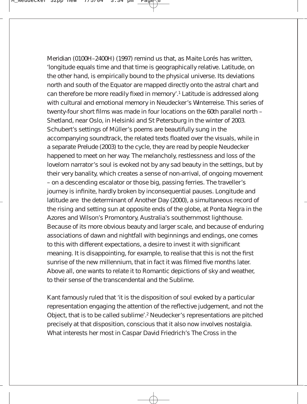*Meridian (0100H–2400H)* (1997) remind us that, as Maite Lorés has written, 'longitude equals time and that time is geographically relative. Latitude, on the other hand, is empirically bound to the physical universe. Its deviations north and south of the Equator are mapped directly onto the astral chart and can therefore be more readily fixed in memory'.1 Latitude is addressed along with cultural and emotional memory in Neudecker's *Winterreise.* This series of twenty-four short films was made in four locations on the 60th parallel north – Shetland, near Oslo, in Helsinki and St Petersburg in the winter of 2003. Schubert's settings of Müller's poems are beautifully sung in the accompanying soundtrack, the related texts floated over the visuals, while in a separate *Prelude* (2003) to the cycle, they are read by people Neudecker happened to meet on her way. The melancholy, restlessness and loss of the lovelorn narrator's soul is evoked not by any sad beauty in the settings, but by their very banality, which creates a sense of non-arrival, of ongoing movement – on a descending escalator or those big, passing ferries. The traveller's journey is infinite, hardly broken by inconsequential pauses. Longitude and latitude are the determinant of *Another Day* (2000), a simultaneous record of the rising and setting sun at opposite ends of the globe, at Ponta Negra in the Azores and Wilson's Promontory, Australia's southernmost lighthouse. Because of its more obvious beauty and larger scale, and because of enduring associations of dawn and nightfall with beginnings and endings, one comes to this with different expectations, a desire to invest it with significant meaning. It is disappointing, for example, to realise that this is not the first sunrise of the new millennium, that in fact it was filmed five months later. Above all, one wants to relate it to Romantic depictions of sky and weather, to their sense of the transcendental and the Sublime.

Kant famously ruled that 'it is the disposition of soul evoked by a particular representation engaging the attention of the reflective judgement, and not the Object, that is to be called sublime'.2 Neudecker's representations are pitched precisely at that disposition, conscious that it also now involves nostalgia. What interests her most in Caspar David Friedrich's *The Cross in the*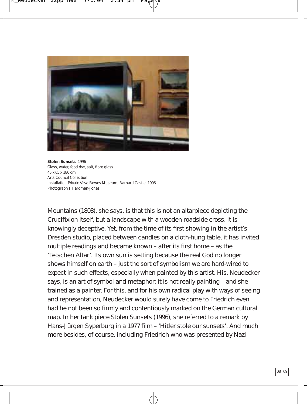

*Stolen Sunsets* 1996 Glass, water, food dye, salt, fibre glass 45 x 65 x 180 cm Arts Council Collection Installation *Private View*, Bowes Museum, Barnard Castle, 1996 Photograph J Hardman-Jones

*Mountains* (1808), she says, is that this is not an altarpiece depicting the Crucifixion itself, but a landscape with a wooden roadside cross. It is knowingly deceptive. Yet, from the time of its first showing in the artist's Dresden studio, placed between candles on a cloth-hung table, it has invited multiple readings and became known – after its first home – as the 'Tetschen Altar'. Its own sun is setting because the real God no longer shows himself on earth – just the sort of symbolism we are hard-wired to expect in such effects, especially when painted by this artist. His, Neudecker says, is an art of symbol and metaphor; it is not really painting – and she trained as a painter. For this, and for his own radical play with ways of seeing and representation, Neudecker would surely have come to Friedrich even had he not been so firmly and contentiously marked on the German cultural map. In her tank piece *Stolen Sunsets* (1996), she referred to a remark by Hans-Jürgen Syperburg in a 1977 film – 'Hitler stole our sunsets'. And much more besides, of course, including Friedrich who was presented by Nazi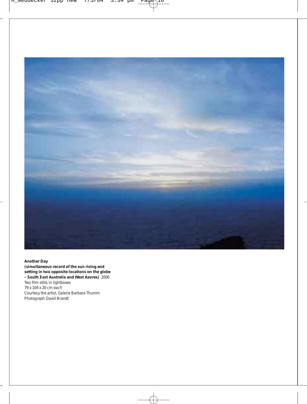

### *Another Day*

*(simultaneous record of the sun rising and setting in two opposite locations on the globe – South East Australia and West Azores)* 2000

Two film stills in lightboxes 79 x 104 x 20 cm each Courtesy the artist, Galerie Barbara Thumm Photograph David Brandt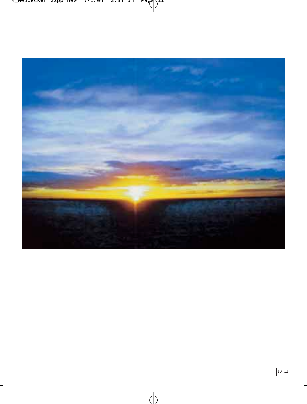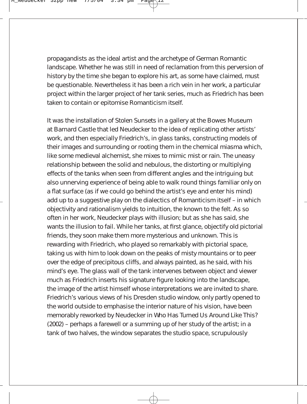propagandists as the ideal artist and the archetype of German Romantic landscape. Whether he was still in need of reclamation from this perversion of history by the time she began to explore his art, as some have claimed, must be questionable. Nevertheless it has been a rich vein in her work, a particular project within the larger project of her tank series, much as Friedrich has been taken to contain or epitomise Romanticism itself.

It was the installation of *Stolen Sunsets* in a gallery at the Bowes Museum at Barnard Castle that led Neudecker to the idea of replicating other artists' work, and then especially Friedrich's, in glass tanks, constructing models of their images and surrounding or rooting them in the chemical miasma which, like some medieval alchemist, she mixes to mimic mist or rain. The uneasy relationship between the solid and nebulous, the distorting or multiplying effects of the tanks when seen from different angles and the intriguing but also unnerving experience of being able to walk round things familiar only on a flat surface (as if we could go behind the artist's eye and enter his mind) add up to a suggestive play on the dialectics of Romanticism itself – in which objectivity and rationalism yields to intuition, the known to the felt. As so often in her work, Neudecker plays with illusion; but as she has said, she wants the illusion to fail. While her tanks, at first glance, objectify old pictorial friends, they soon make them more mysterious and unknown. This is rewarding with Friedrich, who played so remarkably with pictorial space, taking us with him to look down on the peaks of misty mountains or to peer over the edge of precipitous cliffs, and always painted, as he said, with his mind's eye. The glass wall of the tank intervenes between object and viewer much as Friedrich inserts his signature figure looking into the landscape, the image of the artist himself whose interpretations we are invited to share. Friedrich's various views of his Dresden studio window, only partly opened to the world outside to emphasise the interior nature of his vision, have been memorably reworked by Neudecker in *Who Has Turned Us Around Like This?* (2002) – perhaps a farewell or a summing up of her study of the artist; in a tank of two halves, the window separates the studio space, scrupulously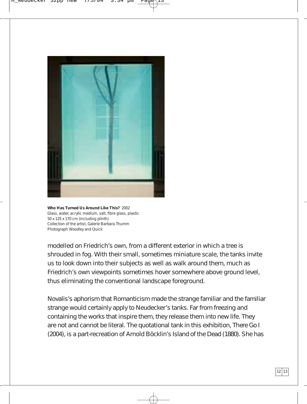

*Who Has Turned Us Around Like This?* 2002 Glass, water, acrylic medium, salt, fibre glass, plastic 50 x 125 x 170 cm (including plinth) Collection of the artist, Galerie Barbara Thumm Photograph Woodley and Quick

modelled on Friedrich's own, from a different exterior in which a tree is shrouded in fog. With their small, sometimes miniature scale, the tanks invite us to look down into their subjects as well as walk around them, much as Friedrich's own viewpoints sometimes hover somewhere above ground level, thus eliminating the conventional landscape foreground.

Novalis's aphorism that Romanticism made the strange familiar and the familiar strange would certainly apply to Neudecker's tanks. Far from freezing and containing the works that inspire them, they release them into new life. They are not and cannot be literal. The quotational tank in this exhibition, *There Go I* (2004), is a part-recreation of Arnold Böcklin's *Island of the Dead* (1880)*.* She has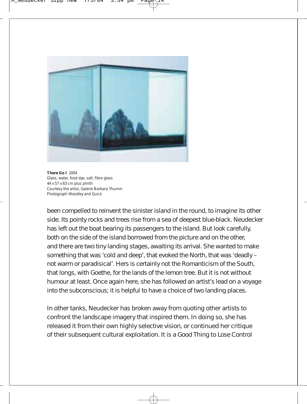

**There Go I** 2004 Glass, water, food dye, salt, fibre glass 44 x 57 x 63 cm plus plinth Courtesy the artist, Galerie Barbara Thumm Photograph Woodley and Quick

been compelled to reinvent the sinister island in the round, to imagine its other side. Its pointy rocks and trees rise from a sea of deepest blue-black. Neudecker has left out the boat bearing its passengers to the island. But look carefully, both on the side of the island borrowed from the picture and on the other, and there are two tiny landing stages, awaiting its arrival. She wanted to make something that was 'cold and deep', that evoked the North, that was 'deadly – not warm or paradisical'. Hers is certainly not the Romanticism of the South, that longs, with Goethe, for the lands of the lemon tree. But it is not without humour at least. Once again here, she has followed an artist's lead on a voyage into the subconscious; it is helpful to have a choice of two landing places.

In other tanks, Neudecker has broken away from quoting other artists to confront the landscape imagery that inspired them. In doing so, she has released it from their own highly selective vision, or continued her critique of their subsequent cultural exploitation. *It is a Good Thing to Lose Control*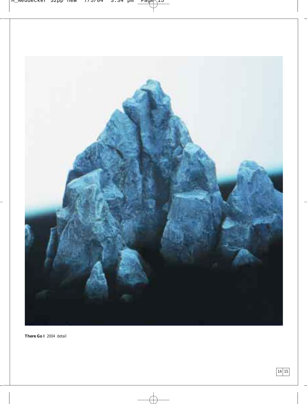

*There Go I* 2004 detail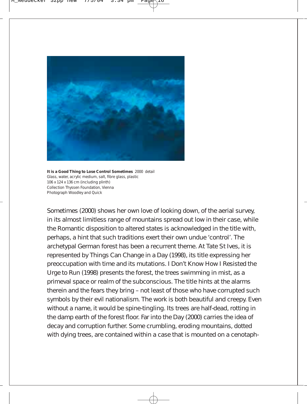

*It is a Good Thing to Lose Control Sometimes* 2000 detail Glass, water, acrylic medium, salt, fibre glass, plastic 106 x 124 x 136 cm (including plinth) Collection Thyssen Foundation, Vienna Photograph Woodley and Quick

*Sometimes* (2000) shows her own love of looking down, of the aerial survey, in its almost limitless range of mountains spread out low in their case, while the Romantic disposition to altered states is acknowledged in the title with, perhaps, a hint that such traditions exert their own undue 'control'. The archetypal German forest has been a recurrent theme. At Tate St Ives, it is represented by *Things Can Change in a Day* (1998), its title expressing her preoccupation with time and its mutations. *I Don't Know How I Resisted the Urge to Run* (1998) presents the forest, the trees swimming in mist, as a primeval space or realm of the subconscious. The title hints at the alarms therein and the fears they bring – not least of those who have corrupted such symbols by their evil nationalism. The work is both beautiful and creepy. Even without a name, it would be spine-tingling. Its trees are half-dead, rotting in the damp earth of the forest floor. *Far into the Day* (2000) carries the idea of decay and corruption further. Some crumbling, eroding mountains, dotted with dying trees, are contained within a case that is mounted on a cenotaph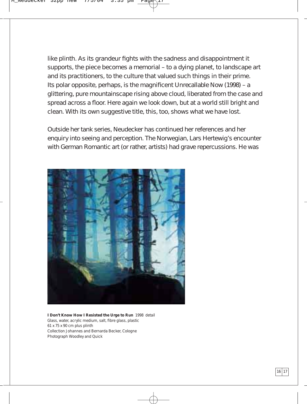like plinth. As its grandeur fights with the sadness and disappointment it supports, the piece becomes a memorial – to a dying planet, to landscape art and its practitioners, to the culture that valued such things in their prime. Its polar opposite, perhaps, is the magnificent *Unrecallable Now* (1998) – a glittering, pure mountainscape rising above cloud, liberated from the case and spread across a floor. Here again we look down, but at a world still bright and clean. With its own suggestive title, this, too, shows what we have lost.

Outside her tank series, Neudecker has continued her references and her enquiry into seeing and perception. The Norwegian, Lars Hertewig's encounter with German Romantic art (or rather, artists) had grave repercussions. He was



**I Don't Know How I Resisted the Urge to Run** 1998 detail Glass, water, acrylic medium, salt, fibre glass, plastic 61 x 75 x 90 cm plus plinth Collection Johannes and Bernarda Becker, Cologne Photograph Woodley and Quick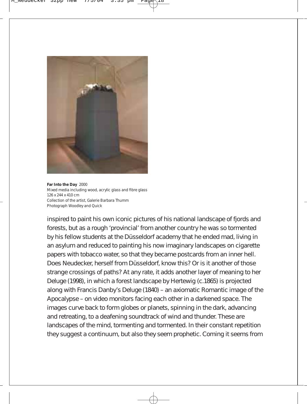

*Far Into the Day* 2000 Mixed media including wood, acrylic glass and fibre glass 126 x 244 x 410 cm Collection of the artist, Galerie Barbara Thumm Photograph Woodley and Quick

inspired to paint his own iconic pictures of his national landscape of fjords and forests, but as a rough 'provincial' from another country he was so tormented by his fellow students at the Düsseldorf academy that he ended mad, living in an asylum and reduced to painting his now imaginary landscapes on cigarette papers with tobacco water, so that they became postcards from an inner hell. Does Neudecker, herself from Düsseldorf, know this? Or is it another of those strange crossings of paths? At any rate, it adds another layer of meaning to her *Deluge* (1998), in which a forest landscape by Hertewig (c.1865) is projected along with Francis Danby's *Deluge* (1840) – an axiomatic Romantic image of the Apocalypse – on video monitors facing each other in a darkened space. The images curve back to form globes or planets, spinning in the dark, advancing and retreating, to a deafening soundtrack of wind and thunder. These are landscapes of the mind, tormenting and tormented. In their constant repetition they suggest a continuum, but also they seem prophetic. Coming it seems from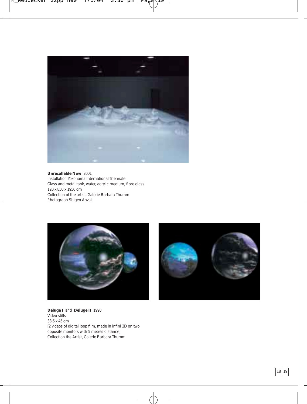

*Unrecallable Now* 2001 Installation Yokohama International Triennale Glass and metal tank, water, acrylic medium, fibre glass 120 x 850 x 1950 cm Collection of the artist, Galerie Barbara Thumm Photograph Shigeo Anzai





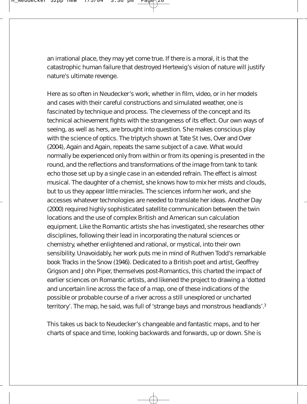an irrational place, they may yet come true. If there is a moral, it is that the catastrophic human failure that destroyed Hertewig's vision of nature will justify nature's ultimate revenge.

Here as so often in Neudecker's work, whether in film, video, or in her models and cases with their careful constructions and simulated weather, one is fascinated by technique and process. The cleverness of the concept and its technical achievement fights with the strangeness of its effect. Our own ways of seeing, as well as hers, are brought into question. She makes conscious play with the science of optics. The triptych shown at Tate St Ives, *Over and Over* (2004), *Again and Again*, repeats the same subject of a cave. What would normally be experienced only from within or from its opening is presented in the round, and the reflections and transformations of the image from tank to tank echo those set up by a single case in an extended refrain. The effect is almost musical. The daughter of a chemist, she knows how to mix her mists and clouds, but to us they appear little miracles. The sciences inform her work, and she accesses whatever technologies are needed to translate her ideas. *Another Day* (2000) required highly sophisticated satellite communication between the twin locations and the use of complex British and American sun calculation equipment. Like the Romantic artists she has investigated, she researches other disciplines, following their lead in incorporating the natural sciences or chemistry, whether enlightened and rational, or mystical, into their own sensibility. Unavoidably, her work puts me in mind of Ruthven Todd's remarkable book *Tracks in the Snow* (1946). Dedicated to a British poet and artist, Geoffrey Grigson and John Piper, themselves post-Romantics, this charted the impact of earlier sciences on Romantic artists, and likened the project to drawing a 'dotted and uncertain line across the face of a map, one of these indications of the possible or probable course of a river across a still unexplored or uncharted territory'. The map, he said, was full of 'strange bays and monstrous headlands'.3

This takes us back to Neudecker's changeable and fantastic maps, and to her charts of space and time, looking backwards and forwards, up or down. She is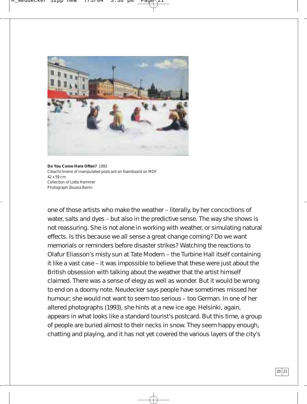

*Do You Come Here Often?* 1993 Cibachchrome of manipulated postcard on foamboard on MDF 42 x 59 cm Collection of Lotta Hammer Photograph Zouzsa Berini

one of those artists who make the weather – literally, by her concoctions of water, salts and dyes – but also in the predictive sense. The way she shows is not reassuring. She is not alone in working with weather, or simulating natural effects. Is this because we all sense a great change coming? Do we want memorials or reminders before disaster strikes? Watching the reactions to Olafur Eliasson's misty sun at Tate Modern – the Turbine Hall itself containing it like a vast case – it was impossible to believe that these were just about the British obsession with talking about the weather that the artist himself claimed. There was a sense of elegy as well as wonder. But it would be wrong to end on a doomy note. Neudecker says people have sometimes missed her humour; she would not want to seem too serious – too German. In one of her altered photographs (1993), she hints at a new ice age. Helsinki, again, appears in what looks like a standard tourist's postcard. But this time, a group of people are buried almost to their necks in snow. They seem happy enough, chatting and playing, and it has not yet covered the various layers of the city's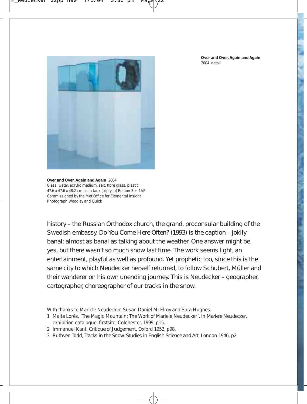*Over and Over, Again and Again*  2004 detail



*Over and Over, Again and Again* 2004 Glass, water, acrylic medium, salt, fibre glass, plastic  $47.6$  x  $47.6$  x  $48.2$  cm each tank (triptych) Edition  $3 + 1$ AP Commissioned by the Met Office for Elemental Insight Photograph Woodley and Quick

history – the Russian Orthodox church, the grand, proconsular building of the Swedish embassy. *Do You Come Here Often?* (1993) is the caption – jokily banal; almost as banal as talking about the weather. One answer might be, yes, but there wasn't so much snow last time. The work seems light, an entertainment, playful as well as profound. Yet prophetic too, since this is the same city to which Neudecker herself returned, to follow Schubert, Müller and their wanderer on his own unending journey. This is Neudecker – geographer, cartographer, choreographer of our tracks in the snow.

With thanks to Mariele Neudecker, Susan Daniel-McElroy and Sara Hughes.

- 1 Maite Lorés, 'The Magic Mountain: The Work of Mariele Neudecker', in *Mariele Neudecker*, exhibition catalogue, firstsite, Colchester, 1999, p15.
- 2 Immanuel Kant, *Critique of Judgement*, Oxford 1952, p98.
- 3 Ruthven Todd, *Tracks in the Snow. Studies in English Science and Art*, London 1946, p2.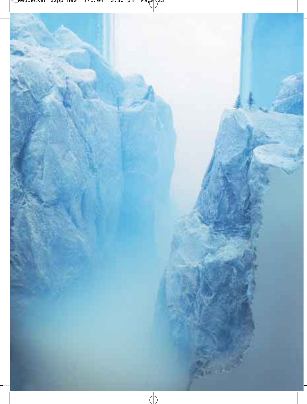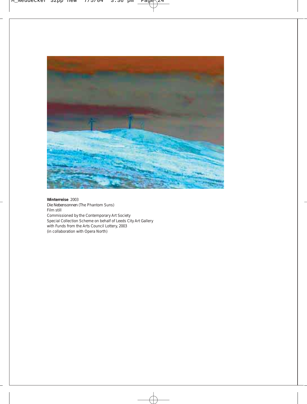

*Winterreise* 2003 *Die Nebensonnen* (The Phantom Suns) Film still Commissioned by the Contemporary Art Society Special Collection Scheme on behalf of Leeds City Art Gallery with Funds from the Arts Council Lottery, 2003 (in collaboration with Opera North)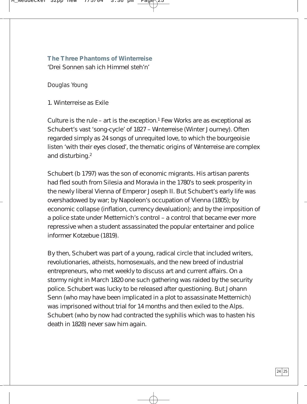# **The Three Phantoms of Winterreise**

'Drei Sonnen sah ich Himmel steh'n'

Douglas Young

1. Winterreise as Exile

Culture is the rule – art is the exception.1 Few Works are as exceptional as Schubert's vast 'song-cycle' of 1827 – *Winterreise* (Winter Journey). Often regarded simply as 24 songs of unrequited love, to which the bourgeoisie listen '*with their eyes closed*', the thematic origins of *Winterreise* are complex and disturbing.2

Schubert (b 1797) was the son of economic migrants. His artisan parents had fled south from Silesia and Moravia in the 1780's to seek prosperity in the newly liberal Vienna of Emperor Joseph II. But Schubert's early life was overshadowed by war; by Napoleon's occupation of Vienna (1805); by economic collapse (inflation, currency devaluation); and by the imposition of a police state under Metternich's control – a control that became ever more repressive when a student assassinated the popular entertainer and police informer Kotzebue (1819).

By then, Schubert was part of a young, radical circle that included writers, revolutionaries, atheists, homosexuals, and the new breed of industrial entrepreneurs, who met weekly to discuss art and current affairs. On a stormy night in March 1820 one such gathering was raided by the security police. Schubert was lucky to be released after questioning. But Johann Senn (who may have been implicated in a plot to assassinate Metternich) was imprisoned without trial for 14 months and then exiled to the Alps. Schubert (who by now had contracted the syphilis which was to hasten his death in 1828) never saw him again.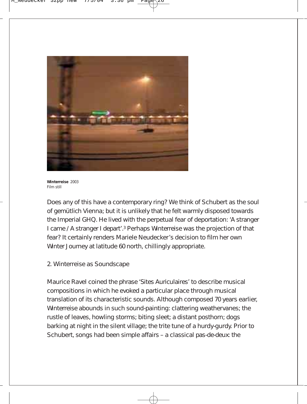

*Winterreise* 2003 Film still

Does any of this have a contemporary ring? We think of Schubert as the soul of *gemütlich* Vienna; but it is unlikely that he felt warmly disposed towards the Imperial GHQ. He lived with the perpetual fear of deportation: *'A stranger I came / A stranger I depart'*. <sup>3</sup> Perhaps *Winterreise* was the projection of that fear? It certainly renders Mariele Neudecker's decision to film her own *Winter Journey* at latitude 60 north, chillingly appropriate.

# 2. Winterreise as Soundscape

Maurice Ravel coined the *phrase 'Sites Auriculaires'* to describe musical compositions in which he evoked a particular place through musical translation of its characteristic sounds. Although composed 70 years earlier, *Winterreise* abounds in such sound-painting: clattering weathervanes; the rustle of leaves, howling storms; biting sleet; a distant posthorn; dogs barking at night in the silent village; the trite tune of a hurdy-gurdy. Prior to Schubert, songs had been simple affairs – a classical *pas-de-deux*: the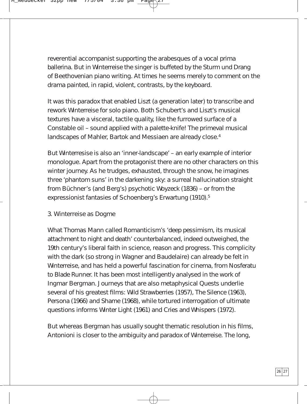reverential accompanist supporting the arabesques of a vocal *prima ballerina*. But in *Winterreise* the singer is buffeted by the *Sturm und Drang* of Beethovenian piano writing. At times he seems merely to comment on the drama painted, in rapid, violent, contrasts, by the keyboard.

It was this paradox that enabled Liszt (a generation later) to transcribe and rework *Winterreise* for solo piano. Both Schubert's and Liszt's musical textures have a visceral, tactile quality, like the furrowed surface of a Constable oil – sound applied with a palette-knife! The primeval musical landscapes of Mahler, Bartok and Messiaen are already close.4

But *Winterresise* is also an 'inner-landscape' – an early example of interior monologue. Apart from the protagonist there are no other characters on this winter journey. As he trudges, exhausted, through the snow, he imagines three 'phantom suns' in the darkening sky: a surreal hallucination straight from Büchner's (and Berg's) psychotic *Woyzeck* (1836) – or from the expressionist fantasies of Schoenberg's *Erwartung* (1910).5

# 3. Winterreise as Dogme

What Thomas Mann called Romanticism's *'deep pessimism, its musical attachment to night and death'* counterbalanced, indeed outweighed, the 19th century's liberal faith in science, reason and progress. This complicity with the dark (so strong in Wagner and Baudelaire) can already be felt in *Winterreise*, and has held a powerful fascination for cinema, from *Nosferatu* to *Blade Runner.* It has been most intelligently analysed in the work of Ingmar Bergman. Journeys that are also metaphysical Quests underlie several of his greatest films: *Wild Strawberries* (1957), *The Silence* (1963), *Persona* (1966) and *Shame* (1968), while tortured interrogation of ultimate questions informs *Winter Light* (1961) and *Cries and Whispers* (1972).

But whereas Bergman has usually sought thematic resolution in his films, Antonioni is closer to the ambiguity and paradox of *Winterreise*. The long,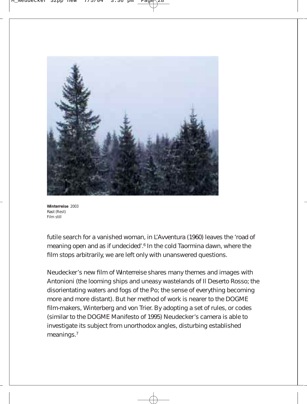



futile search for a vanished woman, in *L'Avventura* (1960) leaves the *'road of meaning open and as if undecided'.*<sup>6</sup> In the cold Taormina dawn, where the film stops arbitrarily, we are left only with unanswered questions.

Neudecker's new film of *Winterreise* shares many themes and images with Antonioni (the looming ships and uneasy wastelands of *Il Deserto Rosso;* the disorientating waters and fogs of the Po; the sense of everything becoming more and more distant). But her method of work is nearer to the DOGME film-makers, Winterberg and von Trier. By adopting a set of rules, or codes (similar to the DOGME Manifesto of 1995) Neudecker's camera is able to investigate its subject from unorthodox angles, disturbing established meanings.7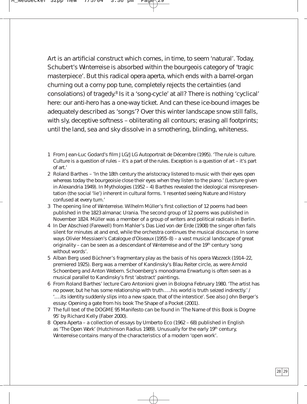Art is an artificial construct which comes, in time, to seem 'natural'. Today, Schubert's *Winterreise* is absorbed within the bourgeois category of 'tragic masterpiece'. But this radical *opera aperta,* which ends with a barrel-organ churning out a corny pop tune, completely rejects the certainties (and consolations) of tragedy.8 Is it a 'song-cycle' at all? There is nothing 'cyclical' here: our anti-hero has a one-way ticket. And can these ice-bound images be adequately described as 'songs'? Over this winter landscape snow still falls, with sly, deceptive softness – obliterating all contours; erasing all footprints; until the land, sea and sky dissolve in a smothering, blinding, whiteness.

- 2 Roland Barthes *'In the 18th century the aristocracy listened to music with their eyes open* whereas today the bourgeoisie close their eyes when they listen to the piano.' (Lecture given in Alexandria 1949). In *Mythologies* (1952 – 4) Barthes revealed the ideological misrepresentation (the social 'lie') inherent in cultural forms. *'I resented seeing Nature and History confused at every turn.'*
- 3 The opening line of *Winterreise*. Wilhelm Müller's first collection of 12 poems had been published in the 1823 almanac *Urania*. The second group of 12 poems was published in November 1824. Müller was a member of a group of writers and political radicals in Berlin.
- 4 In *Der Abschied* (Farewell) from Mahler's *Das Lied von der Erde* (1908) the singer often falls silent for minutes at and end, while the orchestra continues the musical discourse. In some ways Olivier Messiaen's *Catalogue d'Oiseaux* (1955–8) – a vast musical landscape of great originality – can be seen as a descendant of *Winterreise* and of the 19th century 'song without words'.
- 5 Alban Berg used Büchner's fragmentary play as the basis of his opera *Wozzeck* (1914–22, premiered 1925). Berg was a member of Kandinsky's *Blau Reiter* circle, as were Arnold Schoenberg and Anton Webern. Schoenberg's monodrama *Erwartung* is often seen as a musical parallel to Kandinsky's first 'abstract' paintings.
- 6 From Roland Barthes' lecture *Caro Antonioni* given in Bologna February 1980. *'The artist has no power, but he has some relationship with truth…..his world is truth seized indirectly.' / '….its identity suddenly slips into a new space, that of the interstice'.* See also John Berger's essay: *Opening a gate from* his book *The Shape of a Pocket* (2001).
- 7 The full text of the DOGME 95 Manifesto can be found in *'The Name of this Book is Dogme 95'* by Richard Kelly (Faber 2000).
- 8 *Opera Aperta* a collection of essays by Umberto Eco (1962 68) published in English as *'The Open Work'* (Hutchinson Radius 1989). Unusually for the early 19th century, *Winterreise* contains many of the characteristics of a modern 'open work'.

<sup>1</sup> From Jean-Luc Godard's film *JLG/JLG Autoportrait de Décembre* (1995). *'The rule is culture. Culture is a question of rules – it's a part of the rules. Exception is a question of art – it's part of art.'*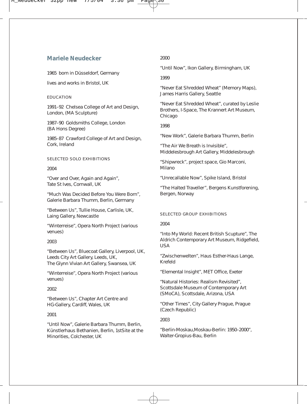### **Mariele Neudecker**

1965 born in Düsseldorf, Germany

lives and works in Bristol, UK

#### EDUCATION

1991–92 Chelsea College of Art and Design, London, (MA Sculpture)

1987–90 Goldsmiths College, London (BA Hons Degree)

1985–87 Crawford College of Art and Design, Cork, Ireland

#### SELECTED SOLO EXHIBITIONS

#### 2004

"Over and Over, Again and Again", Tate St Ives, Cornwall, UK

"Much Was Decided Before You Were Born", Galerie Barbara Thumm, Berlin, Germany

"Between Us", Tullie House, Carlisle, UK, Laing Gallery, Newcastle

"Winterreise", Opera North Project (various venues)

#### 2003

"Between Us", Bluecoat Gallery, Liverpool, UK, Leeds City Art Gallery, Leeds, UK, The Glynn Vivian Art Gallery, Swansea, UK

"Winterreise", Opera North Project (various venues)

#### 2002

"Between Us", Chapter Art Centre and HG-Gallery, Cardiff, Wales, UK

### 2001

"Until Now", Galerie Barbara Thumm, Berlin, Künstlerhaus Bethanien, Berlin, 1stSite at the Minorities, Colchester, UK

### 2000

"Until Now", Ikon Gallery, Birmingham, UK

1999

"Never Eat Shredded Wheat" (Memory Maps), James Harris Gallery, Seattle

"Never Eat Shredded Wheat", curated by Leslie Brothers, I-Space, The Krannert Art Museum, Chicago

1998

"New Work", Galerie Barbara Thumm, Berlin

"The Air We Breath is Invisible", Middelesbrough Art Gallery, Middelesbrough

"Shipwreck", project space, Gio Marconi, Milano

"Unrecallable Now", Spike Island, Bristol

"The Halted Traveller", Bergens Kunstforening, Bergen, Norway

#### SELECTED GROUP EXHIBITIONS

#### 2004

"Into My World: Recent British Scupture", The Aldrich Contemporary Art Museum, Ridgefield, USA

"Zwischenwelten", Haus Esther-Haus Lange, Krefeld

"Elemental Insight", MET Office, Exeter

"Natural Histories: Realism Revisited", Scottsdale Museum of Contemporary Art (SMoCA), Scottsdale, Arizona, USA

"Other Times", City Gallery Prague, Prague (Czech Republic)

#### 2003

"Berlin-Moskau,Moskau-Berlin: 1950–2000", Walter-Gropius-Bau, Berlin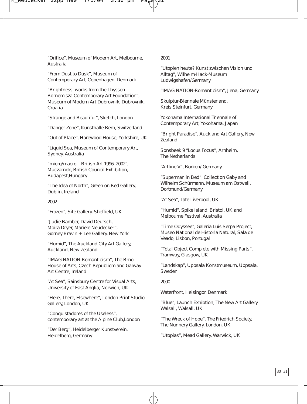"Orifice", Museum of Modern Art, Melbourne, Australia

"From Dust to Dusk", Museum of Contemporary Art, Copenhagen, Denmark

"Brightness works from the Thyssen-Bornemisza Contemporary Art Foundation", Museum of Modern Art Dubrovnik, Dubrovnik, Croatia

"Strange and Beautiful", Sketch, London

"Danger Zone", Kunsthalle Bern, Switzerland

"Out of Place", Harewood House, Yorkshire, UK

"Liquid Sea, Museum of Contemporary Art, Sydney, Australia

"micro/macro – British Art 1996–2002", Muczarnok, British Council Exhibition, Budapest,Hungary

"The Idea of North", Green on Red Gallery, Dublin, Ireland

2002

"Frozen", Site Gallery, Sheffield, UK

"Judie Bamber, David Deutsch, Moira Dryer, Mariele Neudecker", Gorney Bravin + Lee Gallery, New York

"Humid", The Auckland City Art Gallery, Auckland, New Zealand

"IMAGINATION-Romanticism", The Brno House of Arts, Czech Republicm and Galway Art Centre, Ireland

"At Sea", Sainsbury Centre for Visual Arts, University of East Anglia, Norwich, UK

"Here, There, Elsewhere", London Print Studio Gallery, London, UK

"Conquistadores of the Useless", contemporary art at the Alpine Club,London

"Der Berg", Heidelberger Kunstverein, Heidelberg, Germany

2001

"Utopien heute? Kunst zwischen Vision und Alltag", Wilhelm-Hack-Museum Ludwigshafen/Germany

"IMAGINATION-Romanticism", Jena, Germany

Skulptur-Biennale Münsterland, Kreis Steinfurt, Germany

Yokohama International Triennale of Contemporary Art, Yokohama, Japan

"Bright Paradise", Auckland Art Gallery, New Zealand

Sonsbeek 9 "Locus Focus", Arnheim, The Netherlands

"Artline V", Borken/ Germany

"Superman in Bed", Collection Gaby and Wilhelm Schürmann, Museum am Ostwall, Dortmund/Germany

"At Sea", Tate Liverpool, UK

"Humid", Spike Island, Bristol, UK and Melbourne Festival, Australia

"Time Odyssee", Galeria Luis Serpa Project, Museo National de Historia Natural, Sala de Veado, Lisbon, Portugal

"Total Object Complete with Missing Parts", Tramway, Glasgow, UK

"Landskap", Uppsala Konstmuseum, Uppsala, Sweden

2000

Waterfront, Helsingor, Denmark

"Blue", Launch Exhibtion, The New Art Gallery Walsall, Walsall, UK

"The Wreck of Hope", The Friedrich Society, The Nunnery Gallery, London, UK

"Utopias", Mead Gallery, Warwick, UK